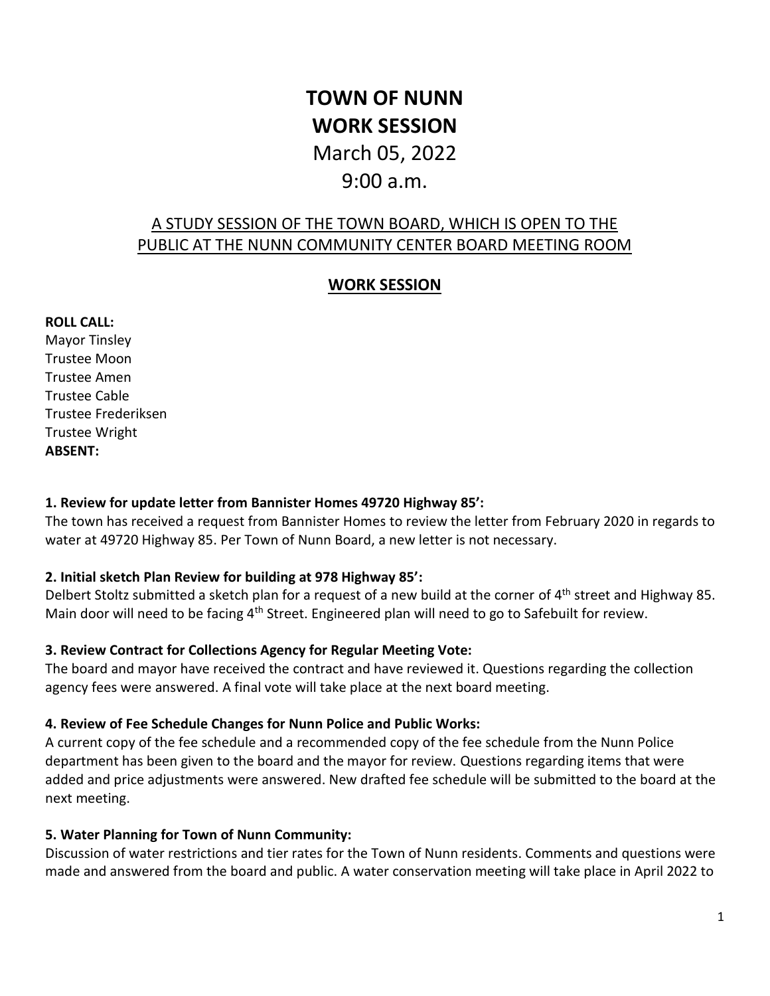# **TOWN OF NUNN WORK SESSION** March 05, 2022

# 9:00 a.m.

## A STUDY SESSION OF THE TOWN BOARD, WHICH IS OPEN TO THE PUBLIC AT THE NUNN COMMUNITY CENTER BOARD MEETING ROOM

### **WORK SESSION**

#### **ROLL CALL:**

Mayor Tinsley Trustee Moon Trustee Amen Trustee Cable Trustee Frederiksen Trustee Wright **ABSENT:** 

#### **1. Review for update letter from Bannister Homes 49720 Highway 85':**

The town has received a request from Bannister Homes to review the letter from February 2020 in regards to water at 49720 Highway 85. Per Town of Nunn Board, a new letter is not necessary.

#### **2. Initial sketch Plan Review for building at 978 Highway 85':**

Delbert Stoltz submitted a sketch plan for a request of a new build at the corner of 4<sup>th</sup> street and Highway 85. Main door will need to be facing 4<sup>th</sup> Street. Engineered plan will need to go to Safebuilt for review.

#### **3. Review Contract for Collections Agency for Regular Meeting Vote:**

The board and mayor have received the contract and have reviewed it. Questions regarding the collection agency fees were answered. A final vote will take place at the next board meeting.

#### **4. Review of Fee Schedule Changes for Nunn Police and Public Works:**

A current copy of the fee schedule and a recommended copy of the fee schedule from the Nunn Police department has been given to the board and the mayor for review. Questions regarding items that were added and price adjustments were answered. New drafted fee schedule will be submitted to the board at the next meeting.

#### **5. Water Planning for Town of Nunn Community:**

Discussion of water restrictions and tier rates for the Town of Nunn residents. Comments and questions were made and answered from the board and public. A water conservation meeting will take place in April 2022 to